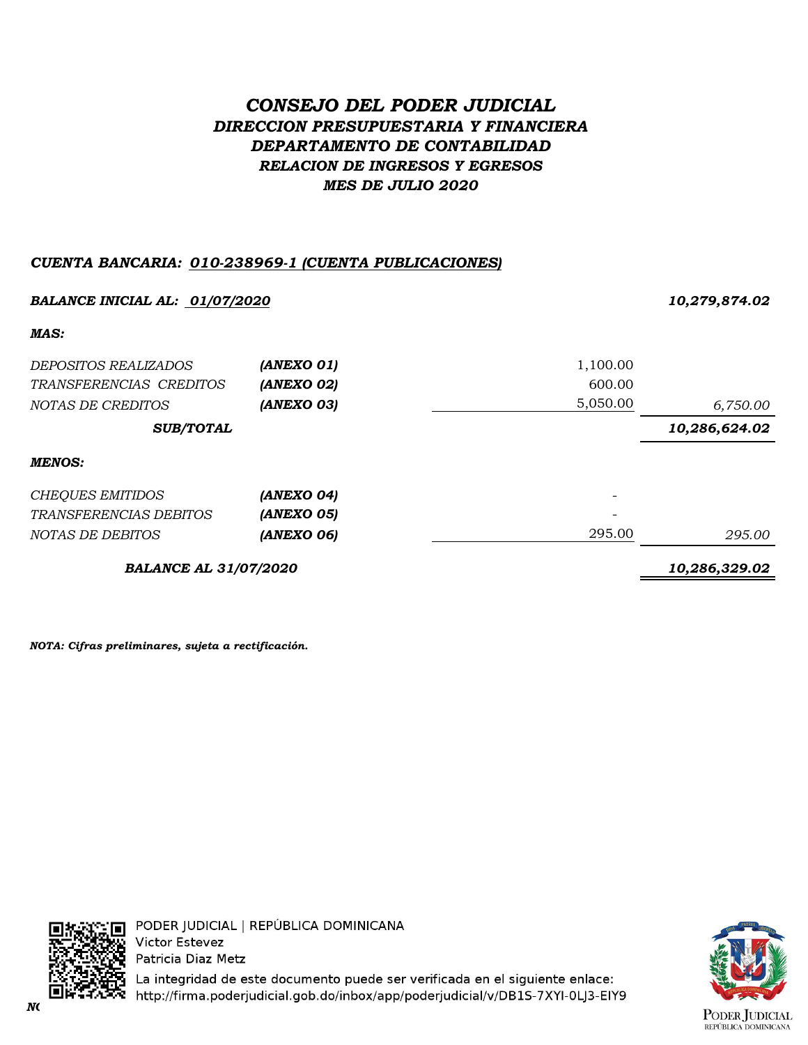# *CONSEJO DEL PODER JUDICIAL DIRECCION PRESUPUESTARIA Y FINANCIERA DEPARTAMENTO DE CONTABILIDAD RELACION DE INGRESOS Y EGRESOS MES DE JULIO 2020*

# *CUENTA BANCARIA: 010-238969-1 (CUENTA PUBLICACIONES)*

| <b>BALANCE INICIAL AL: 01/07/2020</b> |            |          | 10,279,874.02 |  |
|---------------------------------------|------------|----------|---------------|--|
| MAS:                                  |            |          |               |  |
| <i>DEPOSITOS REALIZADOS</i>           | (ANEXO 01) | 1,100.00 |               |  |
| TRANSFERENCIAS CREDITOS               | (ANEXO 02) | 600.00   |               |  |
| NOTAS DE CREDITOS                     | (ANEXO 03) | 5,050.00 | 6,750.00      |  |
| <b>SUB/TOTAL</b>                      |            |          | 10,286,624.02 |  |
| <b>MENOS:</b>                         |            |          |               |  |
| <b>CHEQUES EMITIDOS</b>               | (ANEXO 04) |          |               |  |
| TRANSFERENCIAS DEBITOS                | (ANEXO 05) |          |               |  |
| NOTAS DE DEBITOS                      | (ANEXO 06) | 295.00   | 295.00        |  |
| <b>BALANCE AL 31/07/2020</b>          |            |          | 10,286,329.02 |  |

*NOTA: Cifras preliminares, sujeta a rectificación.*



PODER JUDICIAL | REPÚBLICA DOMINICANA **Victor Estevez** Patricia Diaz Metz

La integridad de este documento puede ser verificada en el siguiente enlace: *NOTA: Cifras preliminares, sujetas a rectificación.*

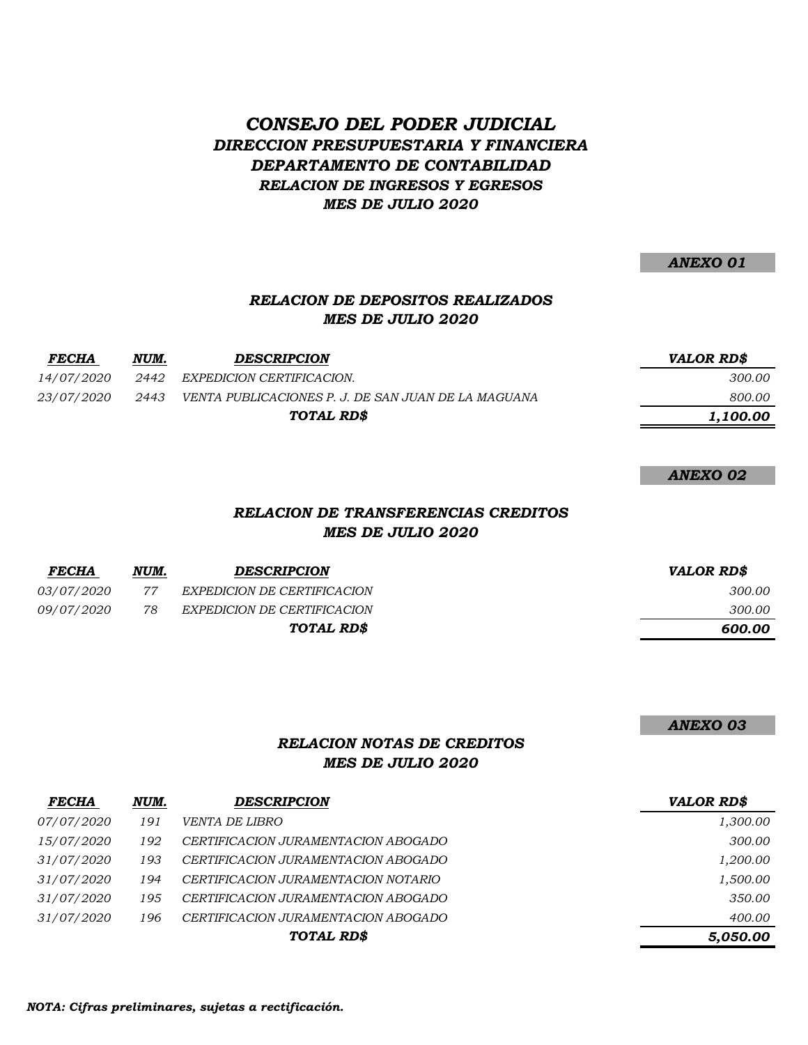# *CONSEJO DEL PODER JUDICIAL DIRECCION PRESUPUESTARIA Y FINANCIERA DEPARTAMENTO DE CONTABILIDAD RELACION DE INGRESOS Y EGRESOS MES DE JULIO 2020*

*ANEXO 01*

## *RELACION DE DEPOSITOS REALIZADOS MES DE JULIO 2020*

| <b>FECHA</b>      | NUM. | <b>DESCRIPCION</b>                                  | <i><b>VALOR RDS</b></i> |
|-------------------|------|-----------------------------------------------------|-------------------------|
| <i>14/07/2020</i> | 2442 | EXPEDICION CERTIFICACION.                           | 300.00                  |
| <i>23/07/2020</i> | 2443 | VENTA PUBLICACIONES P. J. DE SAN JUAN DE LA MAGUANA | 800.00                  |
| TOTAL RD\$        |      | 1,100.00                                            |                         |

*ANEXO 02*

### *RELACION DE TRANSFERENCIAS CREDITOS MES DE JULIO 2020*

| <b>FECHA</b>      | NUM. | <b>DESCRIPCION</b>          | VALOR RD\$ |
|-------------------|------|-----------------------------|------------|
| <i>03/07/2020</i> | 77   | EXPEDICION DE CERTIFICACION | 300.00     |
| <i>09/07/2020</i> | 78   | EXPEDICION DE CERTIFICACION | 300.00     |
|                   |      | TOTAL RD\$                  | 600.00     |

*ANEXO 03*

### *RELACION NOTAS DE CREDITOS MES DE JULIO 2020*

| <b>FECHA</b>      | NUM. | <b>DESCRIPCION</b>                  | <b>VALOR RD\$</b> |
|-------------------|------|-------------------------------------|-------------------|
| <i>07/07/2020</i> | 191  | <i>VENTA DE LIBRO</i>               | 1,300.00          |
| <i>15/07/2020</i> | 192  | CERTIFICACION JURAMENTACION ABOGADO | 300.00            |
| <i>31/07/2020</i> | 193  | CERTIFICACION JURAMENTACION ABOGADO | 1,200.00          |
| <i>31/07/2020</i> | 194  | CERTIFICACION JURAMENTACION NOTARIO | 1,500.00          |
| <i>31/07/2020</i> | 195  | CERTIFICACION JURAMENTACION ABOGADO | 350.00            |
| <i>31/07/2020</i> | 196  | CERTIFICACION JURAMENTACION ABOGADO | 400.00            |
|                   |      | TOTAL RD\$                          | 5,050.00          |